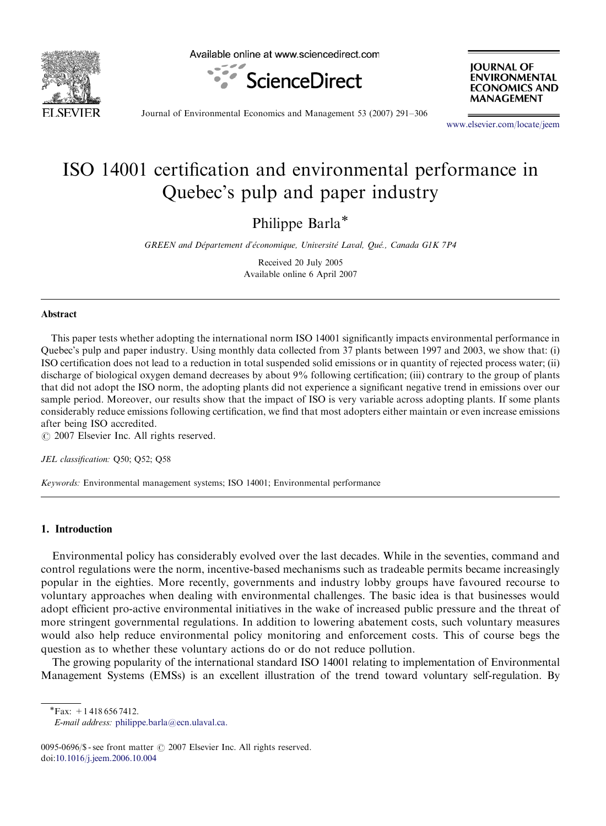

Available online at www.sciencedirect.com



**IOURNAL OF ENVIRONMENTAL ECONOMICS AND MANAGEMENT** 

Journal of Environmental Economics and Management 53 (2007) 291–306

<www.elsevier.com/locate/jeem>

## ISO 14001 certification and environmental performance in Quebec's pulp and paper industry

Philippe Barla\*

GREEN and Département d'économique, Université Laval, Qué., Canada G1K 7P4

Received 20 July 2005 Available online 6 April 2007

#### Abstract

This paper tests whether adopting the international norm ISO 14001 significantly impacts environmental performance in Quebec's pulp and paper industry. Using monthly data collected from 37 plants between 1997 and 2003, we show that: (i) ISO certification does not lead to a reduction in total suspended solid emissions or in quantity of rejected process water; (ii) discharge of biological oxygen demand decreases by about 9% following certification; (iii) contrary to the group of plants that did not adopt the ISO norm, the adopting plants did not experience a significant negative trend in emissions over our sample period. Moreover, our results show that the impact of ISO is very variable across adopting plants. If some plants considerably reduce emissions following certification, we find that most adopters either maintain or even increase emissions after being ISO accredited.

 $\odot$  2007 Elsevier Inc. All rights reserved.

JEL classification: Q50; Q52; Q58

Keywords: Environmental management systems; ISO 14001; Environmental performance

### 1. Introduction

Environmental policy has considerably evolved over the last decades. While in the seventies, command and control regulations were the norm, incentive-based mechanisms such as tradeable permits became increasingly popular in the eighties. More recently, governments and industry lobby groups have favoured recourse to voluntary approaches when dealing with environmental challenges. The basic idea is that businesses would adopt efficient pro-active environmental initiatives in the wake of increased public pressure and the threat of more stringent governmental regulations. In addition to lowering abatement costs, such voluntary measures would also help reduce environmental policy monitoring and enforcement costs. This of course begs the question as to whether these voluntary actions do or do not reduce pollution.

The growing popularity of the international standard ISO 14001 relating to implementation of Environmental Management Systems (EMSs) is an excellent illustration of the trend toward voluntary self-regulation. By

 $\sqrt{\text{Fax:}}$  + 1 418 656 7412.

0095-0696/\$ - see front matter  $\odot$  2007 Elsevier Inc. All rights reserved. doi:[10.1016/j.jeem.2006.10.004](dx.doi.org/10.1016/j.jeem.2006.10.004)

E-mail address: [philippe.barla@ecn.ulaval.ca.](mailto:philippe.barla@ecn.ulaval.ca)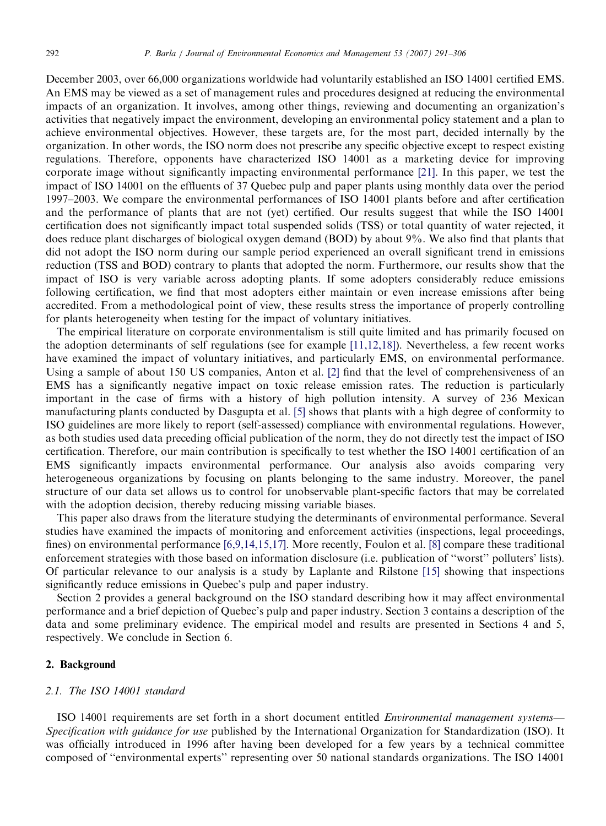December 2003, over 66,000 organizations worldwide had voluntarily established an ISO 14001 certified EMS. An EMS may be viewed as a set of management rules and procedures designed at reducing the environmental impacts of an organization. It involves, among other things, reviewing and documenting an organization's activities that negatively impact the environment, developing an environmental policy statement and a plan to achieve environmental objectives. However, these targets are, for the most part, decided internally by the organization. In other words, the ISO norm does not prescribe any specific objective except to respect existing regulations. Therefore, opponents have characterized ISO 14001 as a marketing device for improving corporate image without significantly impacting environmental performance [\[21\]](#page--1-0). In this paper, we test the impact of ISO 14001 on the effluents of 37 Quebec pulp and paper plants using monthly data over the period 1997–2003. We compare the environmental performances of ISO 14001 plants before and after certification and the performance of plants that are not (yet) certified. Our results suggest that while the ISO 14001 certification does not significantly impact total suspended solids (TSS) or total quantity of water rejected, it does reduce plant discharges of biological oxygen demand (BOD) by about 9%. We also find that plants that did not adopt the ISO norm during our sample period experienced an overall significant trend in emissions reduction (TSS and BOD) contrary to plants that adopted the norm. Furthermore, our results show that the impact of ISO is very variable across adopting plants. If some adopters considerably reduce emissions following certification, we find that most adopters either maintain or even increase emissions after being accredited. From a methodological point of view, these results stress the importance of properly controlling for plants heterogeneity when testing for the impact of voluntary initiatives.

The empirical literature on corporate environmentalism is still quite limited and has primarily focused on the adoption determinants of self regulations (see for example [\[11,12,18\]\)](#page--1-0). Nevertheless, a few recent works have examined the impact of voluntary initiatives, and particularly EMS, on environmental performance. Using a sample of about 150 US companies, Anton et al. [\[2\]](#page--1-0) find that the level of comprehensiveness of an EMS has a significantly negative impact on toxic release emission rates. The reduction is particularly important in the case of firms with a history of high pollution intensity. A survey of 236 Mexican manufacturing plants conducted by Dasgupta et al. [\[5\]](#page--1-0) shows that plants with a high degree of conformity to ISO guidelines are more likely to report (self-assessed) compliance with environmental regulations. However, as both studies used data preceding official publication of the norm, they do not directly test the impact of ISO certification. Therefore, our main contribution is specifically to test whether the ISO 14001 certification of an EMS significantly impacts environmental performance. Our analysis also avoids comparing very heterogeneous organizations by focusing on plants belonging to the same industry. Moreover, the panel structure of our data set allows us to control for unobservable plant-specific factors that may be correlated with the adoption decision, thereby reducing missing variable biases.

This paper also draws from the literature studying the determinants of environmental performance. Several studies have examined the impacts of monitoring and enforcement activities (inspections, legal proceedings, fines) on environmental performance [\[6,9,14,15,17\]](#page--1-0). More recently, Foulon et al. [\[8\]](#page--1-0) compare these traditional enforcement strategies with those based on information disclosure (i.e. publication of ''worst'' polluters' lists). Of particular relevance to our analysis is a study by Laplante and Rilstone [\[15\]](#page--1-0) showing that inspections significantly reduce emissions in Quebec's pulp and paper industry.

Section 2 provides a general background on the ISO standard describing how it may affect environmental performance and a brief depiction of Quebec's pulp and paper industry. Section 3 contains a description of the data and some preliminary evidence. The empirical model and results are presented in Sections 4 and 5, respectively. We conclude in Section 6.

## 2. Background

### 2.1. The ISO 14001 standard

ISO 14001 requirements are set forth in a short document entitled Environmental management systems— Specification with guidance for use published by the International Organization for Standardization (ISO). It was officially introduced in 1996 after having been developed for a few years by a technical committee composed of ''environmental experts'' representing over 50 national standards organizations. The ISO 14001